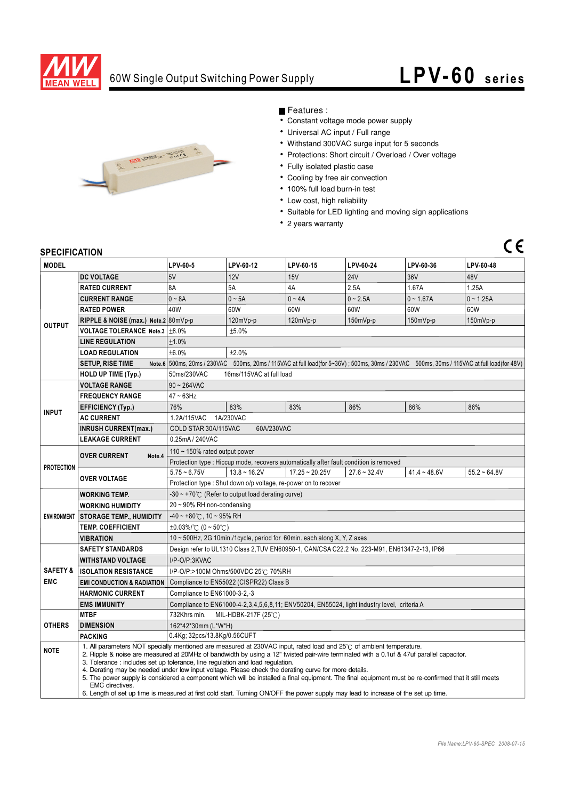

## 60W Single Output Switching Power Supply

# **LPV-60** series

 $C \in$ 



### Features :

- $\overline{\cdot}$  Constant voltage mode power supply
- Universal AC input / Full range
- Withstand 300VAC surge input for 5 seconds
- Protections: Short circuit / Overload / Over voltage
- Fully isolated plastic case
- Cooling by free air convection
- 100% full load burn-in test
- Low cost, high reliability
- Suitable for LED lighting and moving sign applications
- 2 years warranty

#### **SPECIFICATION**

| יוטוווטם ושם וט<br><b>MODEL</b> |                                                                                                                                                                                                                                                                                                                                                                                                                                                                                                                                                                                                                                                                                                                                                                            | LPV-60-5                                                                                                                                  | LPV-60-12      | LPV-60-15        | LPV-60-24      | LPV-60-36      | LPV-60-48      |  |
|---------------------------------|----------------------------------------------------------------------------------------------------------------------------------------------------------------------------------------------------------------------------------------------------------------------------------------------------------------------------------------------------------------------------------------------------------------------------------------------------------------------------------------------------------------------------------------------------------------------------------------------------------------------------------------------------------------------------------------------------------------------------------------------------------------------------|-------------------------------------------------------------------------------------------------------------------------------------------|----------------|------------------|----------------|----------------|----------------|--|
| <b>OUTPUT</b>                   | <b>DC VOLTAGE</b>                                                                                                                                                                                                                                                                                                                                                                                                                                                                                                                                                                                                                                                                                                                                                          | 5V                                                                                                                                        | 12V            | 15V              | <b>24V</b>     | 36V            | 48V            |  |
|                                 | <b>RATED CURRENT</b>                                                                                                                                                                                                                                                                                                                                                                                                                                                                                                                                                                                                                                                                                                                                                       | 8A                                                                                                                                        | 5A             | 4A               | 2.5A           | 1.67A          | 1.25A          |  |
|                                 | <b>CURRENT RANGE</b>                                                                                                                                                                                                                                                                                                                                                                                                                                                                                                                                                                                                                                                                                                                                                       | $0 - 8A$                                                                                                                                  | $0 \sim 5A$    | $0 - 4A$         | $0 - 2.5A$     | $0 - 1.67A$    | $0 - 1.25A$    |  |
|                                 | <b>RATED POWER</b>                                                                                                                                                                                                                                                                                                                                                                                                                                                                                                                                                                                                                                                                                                                                                         | 40W                                                                                                                                       | 60W            | 60W              | 60W            | 60W            | 60W            |  |
|                                 | RIPPLE & NOISE (max.) Note.2 80mVp-p                                                                                                                                                                                                                                                                                                                                                                                                                                                                                                                                                                                                                                                                                                                                       |                                                                                                                                           | $120mVp-p$     | 120mVp-p         | $150mVp-p$     | $150mVp-p$     | 150mVp-p       |  |
|                                 | VOLTAGE TOLERANCE Note.3 ±8.0%                                                                                                                                                                                                                                                                                                                                                                                                                                                                                                                                                                                                                                                                                                                                             | ±5.0%                                                                                                                                     |                |                  |                |                |                |  |
|                                 | <b>LINE REGULATION</b>                                                                                                                                                                                                                                                                                                                                                                                                                                                                                                                                                                                                                                                                                                                                                     | ±1.0%                                                                                                                                     |                |                  |                |                |                |  |
|                                 | <b>LOAD REGULATION</b>                                                                                                                                                                                                                                                                                                                                                                                                                                                                                                                                                                                                                                                                                                                                                     | ±6.0%<br>±2.0%                                                                                                                            |                |                  |                |                |                |  |
|                                 | <b>SETUP, RISE TIME</b>                                                                                                                                                                                                                                                                                                                                                                                                                                                                                                                                                                                                                                                                                                                                                    | Note.6 500ms, 20ms / 230VAC 500ms, 20ms / 115VAC at full load(for 5~36V); 500ms, 30ms / 230VAC 500ms, 30ms / 115VAC at full load(for 48V) |                |                  |                |                |                |  |
|                                 | <b>HOLD UP TIME (Typ.)</b>                                                                                                                                                                                                                                                                                                                                                                                                                                                                                                                                                                                                                                                                                                                                                 | 50ms/230VAC<br>16ms/115VAC at full load                                                                                                   |                |                  |                |                |                |  |
|                                 | <b>VOLTAGE RANGE</b>                                                                                                                                                                                                                                                                                                                                                                                                                                                                                                                                                                                                                                                                                                                                                       | $90 - 264$ VAC                                                                                                                            |                |                  |                |                |                |  |
| <b>INPUT</b>                    | <b>FREQUENCY RANGE</b>                                                                                                                                                                                                                                                                                                                                                                                                                                                                                                                                                                                                                                                                                                                                                     | $47 \sim 63$ Hz                                                                                                                           |                |                  |                |                |                |  |
|                                 | <b>EFFICIENCY (Typ.)</b>                                                                                                                                                                                                                                                                                                                                                                                                                                                                                                                                                                                                                                                                                                                                                   | 76%                                                                                                                                       | 83%            | 83%              | 86%            | 86%            | 86%            |  |
|                                 | <b>AC CURRENT</b>                                                                                                                                                                                                                                                                                                                                                                                                                                                                                                                                                                                                                                                                                                                                                          | 1A/230VAC<br>1.2A/115VAC                                                                                                                  |                |                  |                |                |                |  |
|                                 | <b>INRUSH CURRENT(max.)</b>                                                                                                                                                                                                                                                                                                                                                                                                                                                                                                                                                                                                                                                                                                                                                | COLD STAR 30A/115VAC<br>60A/230VAC                                                                                                        |                |                  |                |                |                |  |
|                                 | <b>LEAKAGE CURRENT</b>                                                                                                                                                                                                                                                                                                                                                                                                                                                                                                                                                                                                                                                                                                                                                     | 0.25mA / 240VAC                                                                                                                           |                |                  |                |                |                |  |
| <b>PROTECTION</b>               | <b>OVER CURRENT</b><br>Note.4                                                                                                                                                                                                                                                                                                                                                                                                                                                                                                                                                                                                                                                                                                                                              | 110 $\sim$ 150% rated output power                                                                                                        |                |                  |                |                |                |  |
|                                 |                                                                                                                                                                                                                                                                                                                                                                                                                                                                                                                                                                                                                                                                                                                                                                            | Protection type : Hiccup mode, recovers automatically after fault condition is removed                                                    |                |                  |                |                |                |  |
|                                 | <b>OVER VOLTAGE</b>                                                                                                                                                                                                                                                                                                                                                                                                                                                                                                                                                                                                                                                                                                                                                        | $5.75 - 6.75V$                                                                                                                            | $13.8 - 16.2V$ | $17.25 - 20.25V$ | $27.6 - 32.4V$ | $41.4 - 48.6V$ | $55.2 - 64.8V$ |  |
|                                 |                                                                                                                                                                                                                                                                                                                                                                                                                                                                                                                                                                                                                                                                                                                                                                            | Protection type: Shut down o/p voltage, re-power on to recover                                                                            |                |                  |                |                |                |  |
| <b>ENVIRONMENT</b>              | <b>WORKING TEMP.</b>                                                                                                                                                                                                                                                                                                                                                                                                                                                                                                                                                                                                                                                                                                                                                       | $-30 \sim +70^{\circ}$ (Refer to output load derating curve)                                                                              |                |                  |                |                |                |  |
|                                 | <b>WORKING HUMIDITY</b>                                                                                                                                                                                                                                                                                                                                                                                                                                                                                                                                                                                                                                                                                                                                                    | 20~90% RH non-condensing                                                                                                                  |                |                  |                |                |                |  |
|                                 | <b>STORAGE TEMP., HUMIDITY</b>                                                                                                                                                                                                                                                                                                                                                                                                                                                                                                                                                                                                                                                                                                                                             | $-40 \sim +80^{\circ}$ C, 10 ~ 95% RH                                                                                                     |                |                  |                |                |                |  |
|                                 | <b>TEMP. COEFFICIENT</b>                                                                                                                                                                                                                                                                                                                                                                                                                                                                                                                                                                                                                                                                                                                                                   | $\pm 0.03\%$ /°C (0 ~ 50°C)                                                                                                               |                |                  |                |                |                |  |
|                                 | <b>VIBRATION</b>                                                                                                                                                                                                                                                                                                                                                                                                                                                                                                                                                                                                                                                                                                                                                           | 10 ~ 500Hz, 2G 10min./1cycle, period for 60min. each along X, Y, Z axes                                                                   |                |                  |                |                |                |  |
|                                 | <b>SAFETY STANDARDS</b>                                                                                                                                                                                                                                                                                                                                                                                                                                                                                                                                                                                                                                                                                                                                                    | Design refer to UL1310 Class 2, TUV EN60950-1, CAN/CSA C22.2 No. 223-M91, EN61347-2-13, IP66                                              |                |                  |                |                |                |  |
|                                 | <b>WITHSTAND VOLTAGE</b>                                                                                                                                                                                                                                                                                                                                                                                                                                                                                                                                                                                                                                                                                                                                                   | I/P-O/P:3KVAC                                                                                                                             |                |                  |                |                |                |  |
| <b>SAFETY &amp;</b>             | <b>ISOLATION RESISTANCE</b>                                                                                                                                                                                                                                                                                                                                                                                                                                                                                                                                                                                                                                                                                                                                                | I/P-O/P:>100M Ohms/500VDC 25℃ 70%RH                                                                                                       |                |                  |                |                |                |  |
| <b>EMC</b>                      | <b>EMI CONDUCTION &amp; RADIATION</b>                                                                                                                                                                                                                                                                                                                                                                                                                                                                                                                                                                                                                                                                                                                                      | Compliance to EN55022 (CISPR22) Class B                                                                                                   |                |                  |                |                |                |  |
|                                 | <b>HARMONIC CURRENT</b><br>Compliance to EN61000-3-2,-3                                                                                                                                                                                                                                                                                                                                                                                                                                                                                                                                                                                                                                                                                                                    |                                                                                                                                           |                |                  |                |                |                |  |
|                                 | <b>EMS IMMUNITY</b>                                                                                                                                                                                                                                                                                                                                                                                                                                                                                                                                                                                                                                                                                                                                                        | Compliance to EN61000-4-2,3,4,5,6,8,11; ENV50204, EN55024, light industry level, criteria A                                               |                |                  |                |                |                |  |
| <b>OTHERS</b>                   | <b>MTBF</b>                                                                                                                                                                                                                                                                                                                                                                                                                                                                                                                                                                                                                                                                                                                                                                | 732Khrs min.<br>MIL-HDBK-217F (25℃)                                                                                                       |                |                  |                |                |                |  |
|                                 | <b>DIMENSION</b>                                                                                                                                                                                                                                                                                                                                                                                                                                                                                                                                                                                                                                                                                                                                                           | 162*42*30mm (L*W*H)                                                                                                                       |                |                  |                |                |                |  |
|                                 | <b>PACKING</b>                                                                                                                                                                                                                                                                                                                                                                                                                                                                                                                                                                                                                                                                                                                                                             | 0.4Kg; 32pcs/13.8Kg/0.56CUFT                                                                                                              |                |                  |                |                |                |  |
| <b>NOTE</b>                     | 1. All parameters NOT specially mentioned are measured at 230VAC input, rated load and 25°C of ambient temperature.<br>2. Ripple & noise are measured at 20MHz of bandwidth by using a 12" twisted pair-wire terminated with a 0.1uf & 47uf parallel capacitor.<br>3. Tolerance: includes set up tolerance, line regulation and load regulation.<br>4. Derating may be needed under low input voltage. Please check the derating curve for more details.<br>5. The power supply is considered a component which will be installed a final equipment. The final equipment must be re-confirmed that it still meets<br>EMC directives.<br>6. Length of set up time is measured at first cold start. Turning ON/OFF the power supply may lead to increase of the set up time. |                                                                                                                                           |                |                  |                |                |                |  |
|                                 |                                                                                                                                                                                                                                                                                                                                                                                                                                                                                                                                                                                                                                                                                                                                                                            |                                                                                                                                           |                |                  |                |                |                |  |